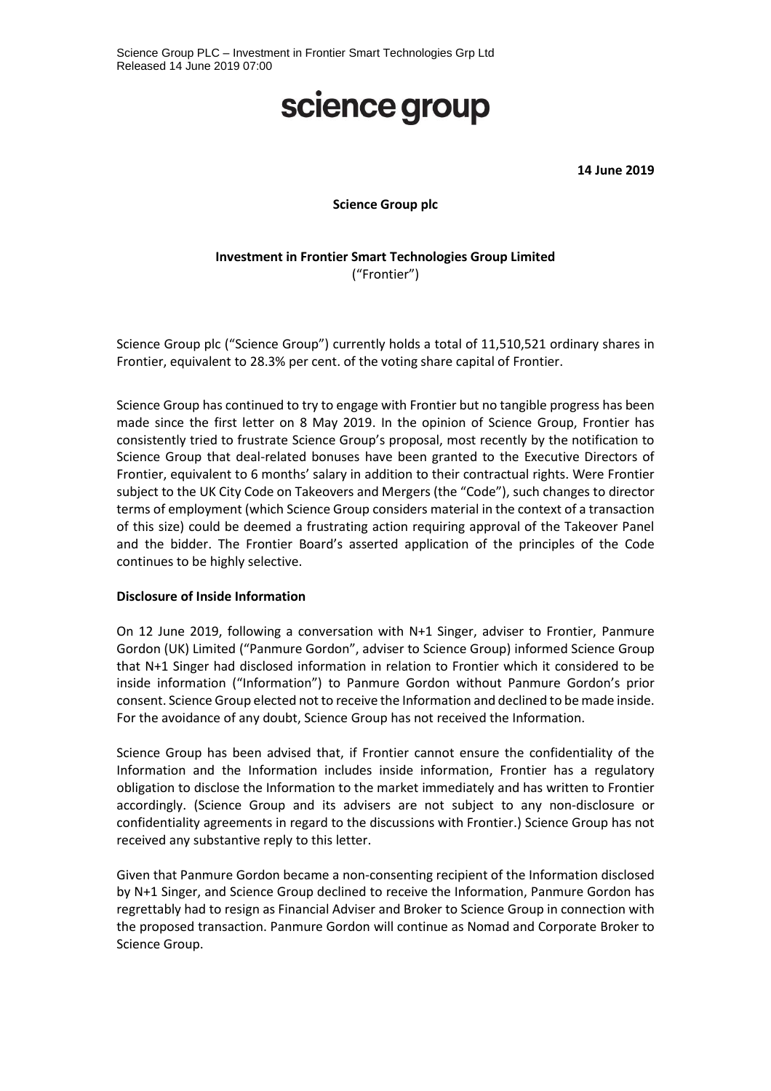# science group

**14 June 2019**

**Science Group plc**

## **Investment in Frontier Smart Technologies Group Limited** ("Frontier")

Science Group plc ("Science Group") currently holds a total of 11,510,521 ordinary shares in Frontier, equivalent to 28.3% per cent. of the voting share capital of Frontier.

Science Group has continued to try to engage with Frontier but no tangible progress has been made since the first letter on 8 May 2019. In the opinion of Science Group, Frontier has consistently tried to frustrate Science Group's proposal, most recently by the notification to Science Group that deal-related bonuses have been granted to the Executive Directors of Frontier, equivalent to 6 months' salary in addition to their contractual rights. Were Frontier subject to the UK City Code on Takeovers and Mergers (the "Code"), such changes to director terms of employment (which Science Group considers material in the context of a transaction of this size) could be deemed a frustrating action requiring approval of the Takeover Panel and the bidder. The Frontier Board's asserted application of the principles of the Code continues to be highly selective.

#### **Disclosure of Inside Information**

On 12 June 2019, following a conversation with N+1 Singer, adviser to Frontier, Panmure Gordon (UK) Limited ("Panmure Gordon", adviser to Science Group) informed Science Group that N+1 Singer had disclosed information in relation to Frontier which it considered to be inside information ("Information") to Panmure Gordon without Panmure Gordon's prior consent. Science Group elected not to receive the Information and declined to be made inside. For the avoidance of any doubt, Science Group has not received the Information.

Science Group has been advised that, if Frontier cannot ensure the confidentiality of the Information and the Information includes inside information, Frontier has a regulatory obligation to disclose the Information to the market immediately and has written to Frontier accordingly. (Science Group and its advisers are not subject to any non-disclosure or confidentiality agreements in regard to the discussions with Frontier.) Science Group has not received any substantive reply to this letter.

Given that Panmure Gordon became a non-consenting recipient of the Information disclosed by N+1 Singer, and Science Group declined to receive the Information, Panmure Gordon has regrettably had to resign as Financial Adviser and Broker to Science Group in connection with the proposed transaction. Panmure Gordon will continue as Nomad and Corporate Broker to Science Group.